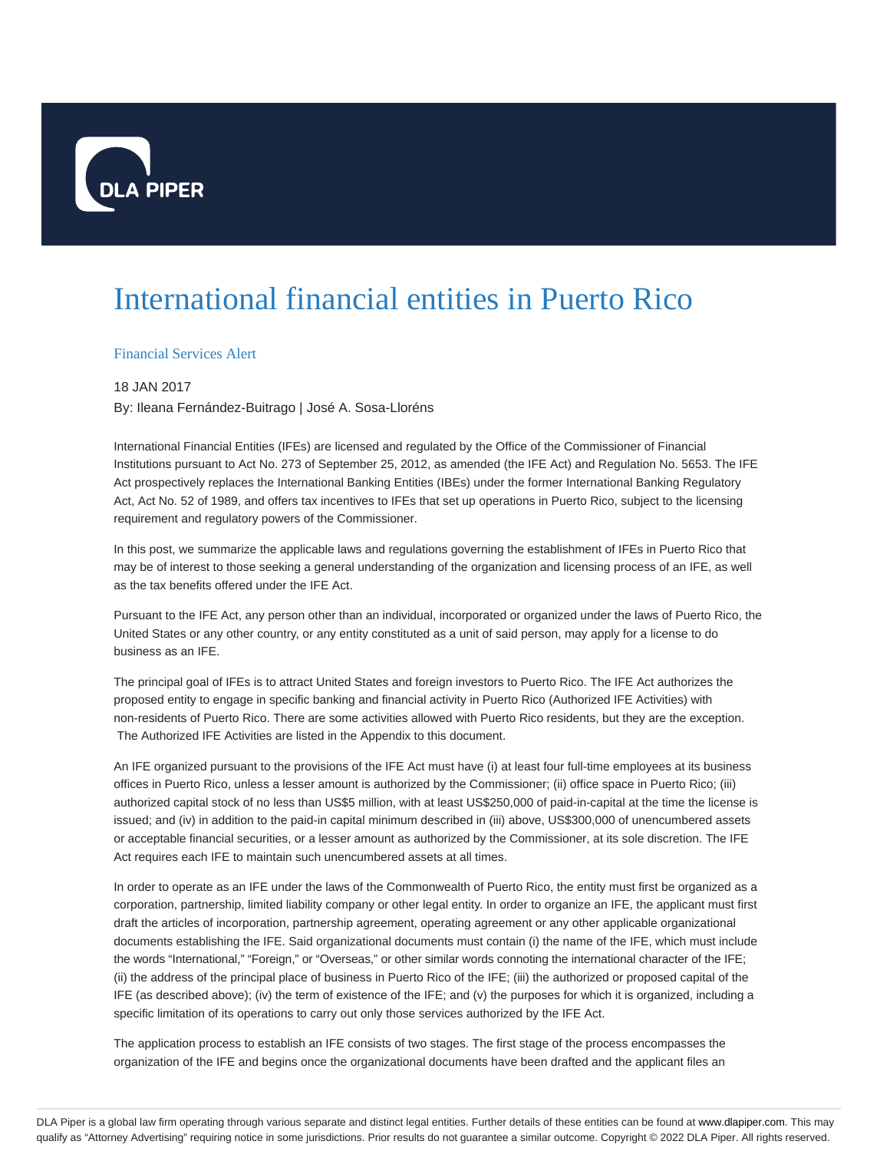

## International financial entities in Puerto Rico

Financial Services Alert

## 18 JAN 2017

By: Ileana Fernández-Buitrago | José A. Sosa-Lloréns

International Financial Entities (IFEs) are licensed and regulated by the Office of the Commissioner of Financial Institutions pursuant to Act No. 273 of September 25, 2012, as amended (the IFE Act) and Regulation No. 5653. The IFE Act prospectively replaces the International Banking Entities (IBEs) under the former International Banking Regulatory Act, Act No. 52 of 1989, and offers tax incentives to IFEs that set up operations in Puerto Rico, subject to the licensing requirement and regulatory powers of the Commissioner.

In this post, we summarize the applicable laws and regulations governing the establishment of IFEs in Puerto Rico that may be of interest to those seeking a general understanding of the organization and licensing process of an IFE, as well as the tax benefits offered under the IFE Act.

Pursuant to the IFE Act, any person other than an individual, incorporated or organized under the laws of Puerto Rico, the United States or any other country, or any entity constituted as a unit of said person, may apply for a license to do business as an IFE.

The principal goal of IFEs is to attract United States and foreign investors to Puerto Rico. The IFE Act authorizes the proposed entity to engage in specific banking and financial activity in Puerto Rico (Authorized IFE Activities) with non-residents of Puerto Rico. There are some activities allowed with Puerto Rico residents, but they are the exception. The Authorized IFE Activities are listed in the Appendix to this document.

An IFE organized pursuant to the provisions of the IFE Act must have (i) at least four full-time employees at its business offices in Puerto Rico, unless a lesser amount is authorized by the Commissioner; (ii) office space in Puerto Rico; (iii) authorized capital stock of no less than US\$5 million, with at least US\$250,000 of paid-in-capital at the time the license is issued; and (iv) in addition to the paid-in capital minimum described in (iii) above, US\$300,000 of unencumbered assets or acceptable financial securities, or a lesser amount as authorized by the Commissioner, at its sole discretion. The IFE Act requires each IFE to maintain such unencumbered assets at all times.

In order to operate as an IFE under the laws of the Commonwealth of Puerto Rico, the entity must first be organized as a corporation, partnership, limited liability company or other legal entity. In order to organize an IFE, the applicant must first draft the articles of incorporation, partnership agreement, operating agreement or any other applicable organizational documents establishing the IFE. Said organizational documents must contain (i) the name of the IFE, which must include the words "International," "Foreign," or "Overseas," or other similar words connoting the international character of the IFE; (ii) the address of the principal place of business in Puerto Rico of the IFE; (iii) the authorized or proposed capital of the IFE (as described above); (iv) the term of existence of the IFE; and (v) the purposes for which it is organized, including a specific limitation of its operations to carry out only those services authorized by the IFE Act.

The application process to establish an IFE consists of two stages. The first stage of the process encompasses the organization of the IFE and begins once the organizational documents have been drafted and the applicant files an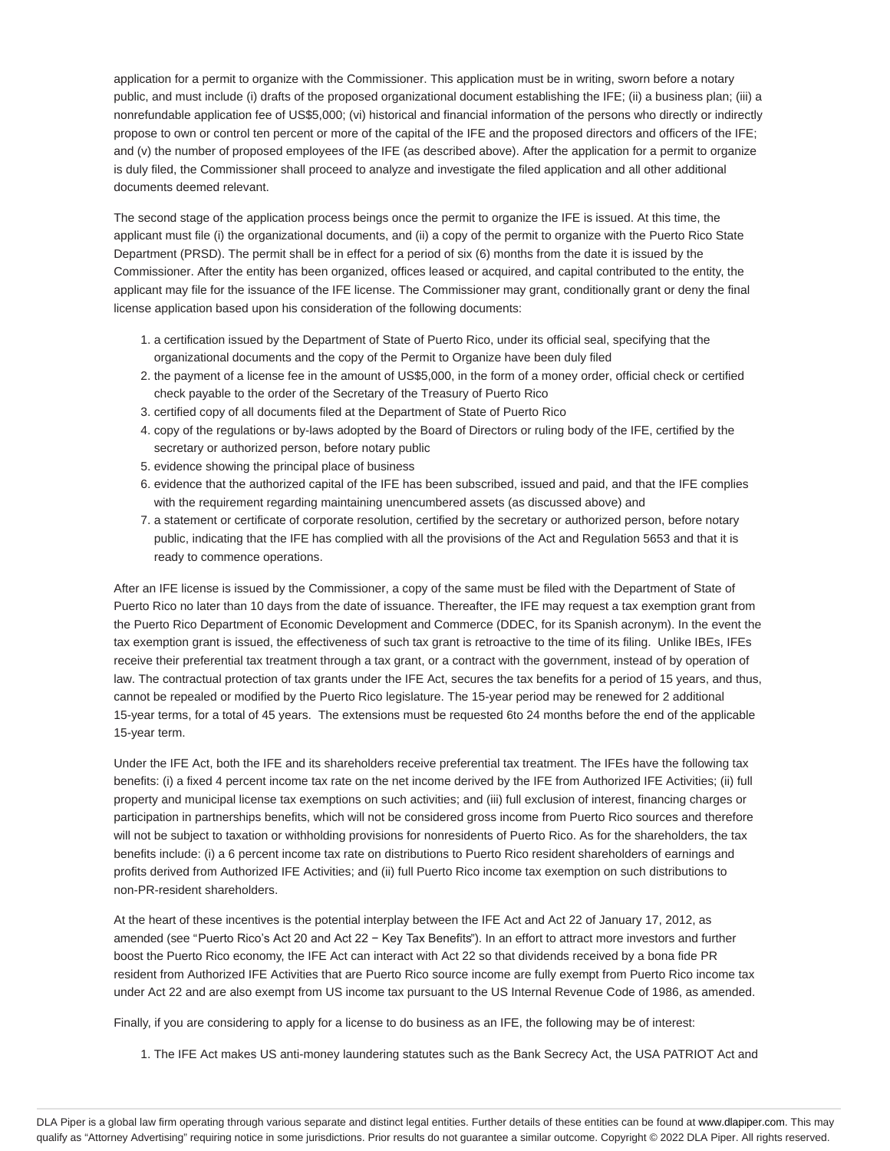application for a permit to organize with the Commissioner. This application must be in writing, sworn before a notary public, and must include (i) drafts of the proposed organizational document establishing the IFE; (ii) a business plan; (iii) a nonrefundable application fee of US\$5,000; (vi) historical and financial information of the persons who directly or indirectly propose to own or control ten percent or more of the capital of the IFE and the proposed directors and officers of the IFE; and (v) the number of proposed employees of the IFE (as described above). After the application for a permit to organize is duly filed, the Commissioner shall proceed to analyze and investigate the filed application and all other additional documents deemed relevant.

The second stage of the application process beings once the permit to organize the IFE is issued. At this time, the applicant must file (i) the organizational documents, and (ii) a copy of the permit to organize with the Puerto Rico State Department (PRSD). The permit shall be in effect for a period of six (6) months from the date it is issued by the Commissioner. After the entity has been organized, offices leased or acquired, and capital contributed to the entity, the applicant may file for the issuance of the IFE license. The Commissioner may grant, conditionally grant or deny the final license application based upon his consideration of the following documents:

- 1. a certification issued by the Department of State of Puerto Rico, under its official seal, specifying that the organizational documents and the copy of the Permit to Organize have been duly filed
- 2. the payment of a license fee in the amount of US\$5,000, in the form of a money order, official check or certified check payable to the order of the Secretary of the Treasury of Puerto Rico
- 3. certified copy of all documents filed at the Department of State of Puerto Rico
- 4. copy of the regulations or by-laws adopted by the Board of Directors or ruling body of the IFE, certified by the secretary or authorized person, before notary public
- 5. evidence showing the principal place of business
- 6. evidence that the authorized capital of the IFE has been subscribed, issued and paid, and that the IFE complies with the requirement regarding maintaining unencumbered assets (as discussed above) and
- 7. a statement or certificate of corporate resolution, certified by the secretary or authorized person, before notary public, indicating that the IFE has complied with all the provisions of the Act and Regulation 5653 and that it is ready to commence operations.

After an IFE license is issued by the Commissioner, a copy of the same must be filed with the Department of State of Puerto Rico no later than 10 days from the date of issuance. Thereafter, the IFE may request a tax exemption grant from the Puerto Rico Department of Economic Development and Commerce (DDEC, for its Spanish acronym). In the event the tax exemption grant is issued, the effectiveness of such tax grant is retroactive to the time of its filing. Unlike IBEs, IFEs receive their preferential tax treatment through a tax grant, or a contract with the government, instead of by operation of law. The contractual protection of tax grants under the IFE Act, secures the tax benefits for a period of 15 years, and thus, cannot be repealed or modified by the Puerto Rico legislature. The 15-year period may be renewed for 2 additional 15-year terms, for a total of 45 years. The extensions must be requested 6to 24 months before the end of the applicable 15-year term.

Under the IFE Act, both the IFE and its shareholders receive preferential tax treatment. The IFEs have the following tax benefits: (i) a fixed 4 percent income tax rate on the net income derived by the IFE from Authorized IFE Activities; (ii) full property and municipal license tax exemptions on such activities; and (iii) full exclusion of interest, financing charges or participation in partnerships benefits, which will not be considered gross income from Puerto Rico sources and therefore will not be subject to taxation or withholding provisions for nonresidents of Puerto Rico. As for the shareholders, the tax benefits include: (i) a 6 percent income tax rate on distributions to Puerto Rico resident shareholders of earnings and profits derived from Authorized IFE Activities; and (ii) full Puerto Rico income tax exemption on such distributions to non-PR-resident shareholders.

At the heart of these incentives is the potential interplay between the IFE Act and Act 22 of January 17, 2012, as amended (see "Puerto Rico's Act 20 and Act 22 − Key Tax Benefits"). In an effort to attract more investors and further boost the Puerto Rico economy, the IFE Act can interact with Act 22 so that dividends received by a bona fide PR resident from Authorized IFE Activities that are Puerto Rico source income are fully exempt from Puerto Rico income tax under Act 22 and are also exempt from US income tax pursuant to the US Internal Revenue Code of 1986, as amended.

Finally, if you are considering to apply for a license to do business as an IFE, the following may be of interest:

1. The IFE Act makes US anti-money laundering statutes such as the Bank Secrecy Act, the USA PATRIOT Act and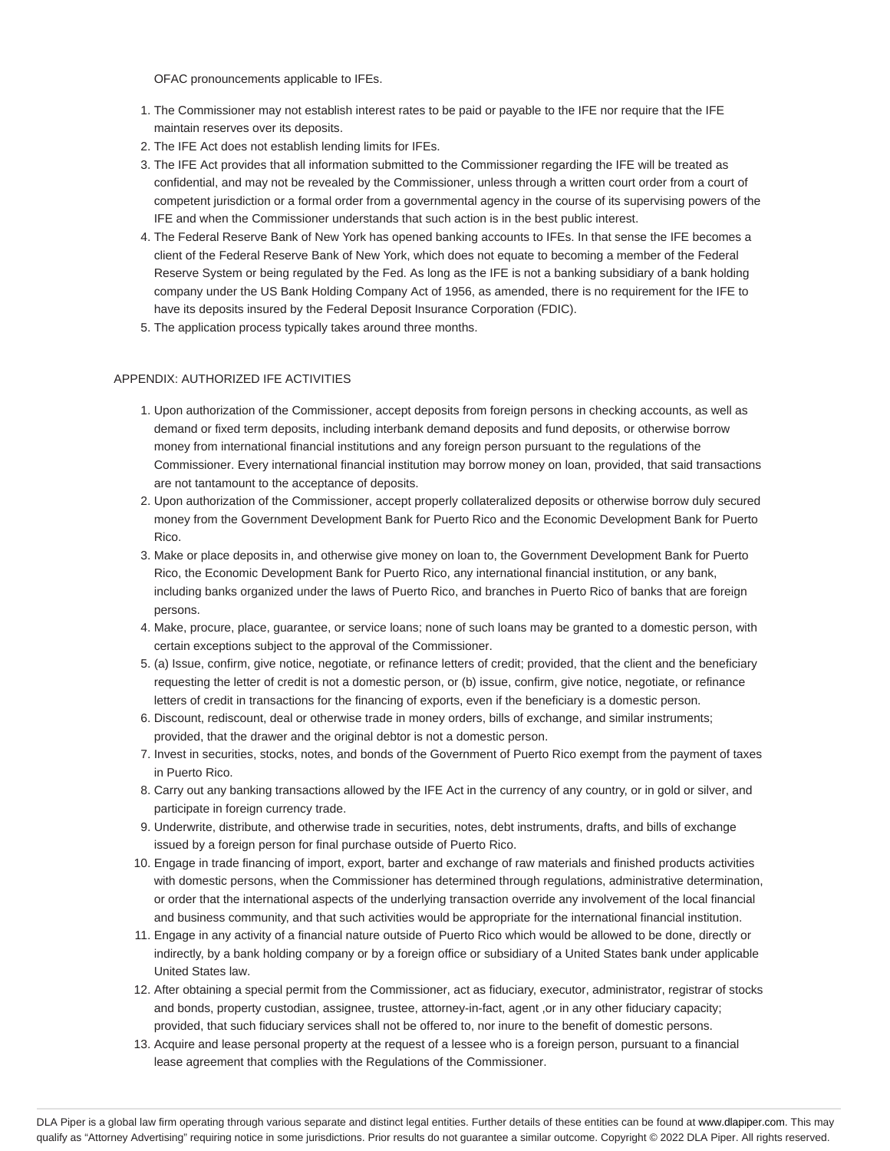OFAC pronouncements applicable to IFEs.

- 1. The Commissioner may not establish interest rates to be paid or payable to the IFE nor require that the IFE maintain reserves over its deposits.
- 2. The IFE Act does not establish lending limits for IFEs.
- 3. The IFE Act provides that all information submitted to the Commissioner regarding the IFE will be treated as confidential, and may not be revealed by the Commissioner, unless through a written court order from a court of competent jurisdiction or a formal order from a governmental agency in the course of its supervising powers of the IFE and when the Commissioner understands that such action is in the best public interest.
- 4. The Federal Reserve Bank of New York has opened banking accounts to IFEs. In that sense the IFE becomes a client of the Federal Reserve Bank of New York, which does not equate to becoming a member of the Federal Reserve System or being regulated by the Fed. As long as the IFE is not a banking subsidiary of a bank holding company under the US Bank Holding Company Act of 1956, as amended, there is no requirement for the IFE to have its deposits insured by the Federal Deposit Insurance Corporation (FDIC).
- 5. The application process typically takes around three months.

## APPENDIX: AUTHORIZED IFE ACTIVITIES

- 1. Upon authorization of the Commissioner, accept deposits from foreign persons in checking accounts, as well as demand or fixed term deposits, including interbank demand deposits and fund deposits, or otherwise borrow money from international financial institutions and any foreign person pursuant to the regulations of the Commissioner. Every international financial institution may borrow money on loan, provided, that said transactions are not tantamount to the acceptance of deposits.
- 2. Upon authorization of the Commissioner, accept properly collateralized deposits or otherwise borrow duly secured money from the Government Development Bank for Puerto Rico and the Economic Development Bank for Puerto Rico.
- Make or place deposits in, and otherwise give money on loan to, the Government Development Bank for Puerto 3. Rico, the Economic Development Bank for Puerto Rico, any international financial institution, or any bank, including banks organized under the laws of Puerto Rico, and branches in Puerto Rico of banks that are foreign persons.
- 4. Make, procure, place, guarantee, or service loans; none of such loans may be granted to a domestic person, with certain exceptions subject to the approval of the Commissioner.
- 5. (a) Issue, confirm, give notice, negotiate, or refinance letters of credit; provided, that the client and the beneficiary requesting the letter of credit is not a domestic person, or (b) issue, confirm, give notice, negotiate, or refinance letters of credit in transactions for the financing of exports, even if the beneficiary is a domestic person.
- 6. Discount, rediscount, deal or otherwise trade in money orders, bills of exchange, and similar instruments; provided, that the drawer and the original debtor is not a domestic person.
- 7. Invest in securities, stocks, notes, and bonds of the Government of Puerto Rico exempt from the payment of taxes in Puerto Rico.
- 8. Carry out any banking transactions allowed by the IFE Act in the currency of any country, or in gold or silver, and participate in foreign currency trade.
- 9. Underwrite, distribute, and otherwise trade in securities, notes, debt instruments, drafts, and bills of exchange issued by a foreign person for final purchase outside of Puerto Rico.
- 10. Engage in trade financing of import, export, barter and exchange of raw materials and finished products activities with domestic persons, when the Commissioner has determined through regulations, administrative determination, or order that the international aspects of the underlying transaction override any involvement of the local financial and business community, and that such activities would be appropriate for the international financial institution.
- 11. Engage in any activity of a financial nature outside of Puerto Rico which would be allowed to be done, directly or indirectly, by a bank holding company or by a foreign office or subsidiary of a United States bank under applicable United States law.
- 12. After obtaining a special permit from the Commissioner, act as fiduciary, executor, administrator, registrar of stocks and bonds, property custodian, assignee, trustee, attorney-in-fact, agent ,or in any other fiduciary capacity; provided, that such fiduciary services shall not be offered to, nor inure to the benefit of domestic persons.
- 13. Acquire and lease personal property at the request of a lessee who is a foreign person, pursuant to a financial lease agreement that complies with the Regulations of the Commissioner.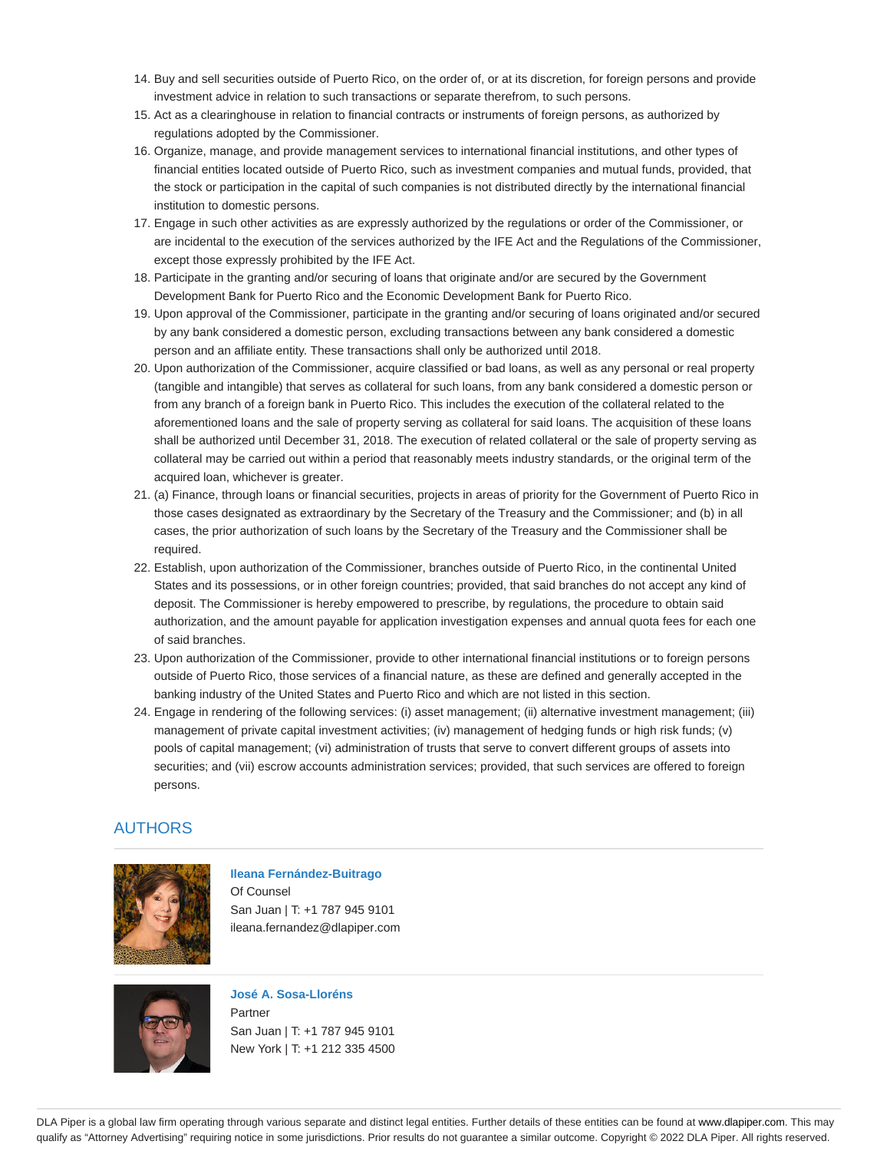- 14. Buy and sell securities outside of Puerto Rico, on the order of, or at its discretion, for foreign persons and provide investment advice in relation to such transactions or separate therefrom, to such persons.
- 15. Act as a clearinghouse in relation to financial contracts or instruments of foreign persons, as authorized by regulations adopted by the Commissioner.
- 16. Organize, manage, and provide management services to international financial institutions, and other types of financial entities located outside of Puerto Rico, such as investment companies and mutual funds, provided, that the stock or participation in the capital of such companies is not distributed directly by the international financial institution to domestic persons.
- 17. Engage in such other activities as are expressly authorized by the regulations or order of the Commissioner, or are incidental to the execution of the services authorized by the IFE Act and the Regulations of the Commissioner, except those expressly prohibited by the IFE Act.
- 18. Participate in the granting and/or securing of loans that originate and/or are secured by the Government Development Bank for Puerto Rico and the Economic Development Bank for Puerto Rico.
- 19. Upon approval of the Commissioner, participate in the granting and/or securing of loans originated and/or secured by any bank considered a domestic person, excluding transactions between any bank considered a domestic person and an affiliate entity. These transactions shall only be authorized until 2018.
- 20. Upon authorization of the Commissioner, acquire classified or bad loans, as well as any personal or real property (tangible and intangible) that serves as collateral for such loans, from any bank considered a domestic person or from any branch of a foreign bank in Puerto Rico. This includes the execution of the collateral related to the aforementioned loans and the sale of property serving as collateral for said loans. The acquisition of these loans shall be authorized until December 31, 2018. The execution of related collateral or the sale of property serving as collateral may be carried out within a period that reasonably meets industry standards, or the original term of the acquired loan, whichever is greater.
- 21. (a) Finance, through loans or financial securities, projects in areas of priority for the Government of Puerto Rico in those cases designated as extraordinary by the Secretary of the Treasury and the Commissioner; and (b) in all cases, the prior authorization of such loans by the Secretary of the Treasury and the Commissioner shall be required.
- 22. Establish, upon authorization of the Commissioner, branches outside of Puerto Rico, in the continental United States and its possessions, or in other foreign countries; provided, that said branches do not accept any kind of deposit. The Commissioner is hereby empowered to prescribe, by regulations, the procedure to obtain said authorization, and the amount payable for application investigation expenses and annual quota fees for each one of said branches.
- 23. Upon authorization of the Commissioner, provide to other international financial institutions or to foreign persons outside of Puerto Rico, those services of a financial nature, as these are defined and generally accepted in the banking industry of the United States and Puerto Rico and which are not listed in this section.
- 24. Engage in rendering of the following services: (i) asset management; (ii) alternative investment management; (iii) management of private capital investment activities; (iv) management of hedging funds or high risk funds; (v) pools of capital management; (vi) administration of trusts that serve to convert different groups of assets into securities; and (vii) escrow accounts administration services; provided, that such services are offered to foreign persons.

## AUTHORS



**Ileana Fernández-Buitrago** Of Counsel San Juan | T: +1 787 945 9101 ileana.fernandez@dlapiper.com



**José A. Sosa-Lloréns** Partner San Juan | T: +1 787 945 9101 New York | T: +1 212 335 4500

DLA Piper is a global law firm operating through various separate and distinct legal entities. Further details of these entities can be found at www.dlapiper.com. This may qualify as "Attorney Advertising" requiring notice in some jurisdictions. Prior results do not guarantee a similar outcome. Copyright © 2022 DLA Piper. All rights reserved.